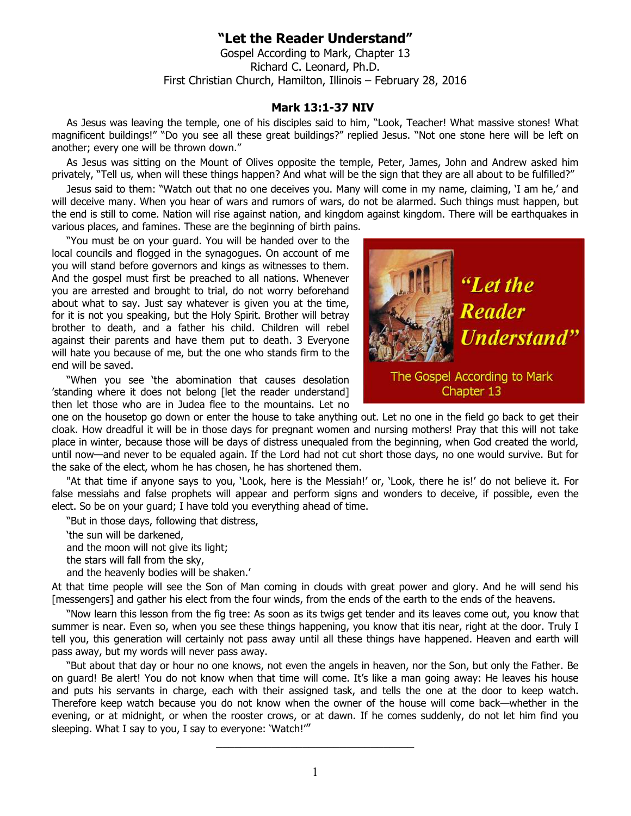## **"Let the Reader Understand"**

Gospel According to Mark, Chapter 13 Richard C. Leonard, Ph.D. First Christian Church, Hamilton, Illinois – February 28, 2016

## **Mark 13:1-37 NIV**

As Jesus was leaving the temple, one of his disciples said to him, "Look, Teacher! What massive stones! What magnificent buildings!" "Do you see all these great buildings?" replied Jesus. "Not one stone here will be left on another; every one will be thrown down."

As Jesus was sitting on the Mount of Olives opposite the temple, Peter, James, John and Andrew asked him privately, "Tell us, when will these things happen? And what will be the sign that they are all about to be fulfilled?"

Jesus said to them: "Watch out that no one deceives you. Many will come in my name, claiming, 'I am he,' and will deceive many. When you hear of wars and rumors of wars, do not be alarmed. Such things must happen, but the end is still to come. Nation will rise against nation, and kingdom against kingdom. There will be earthquakes in various places, and famines. These are the beginning of birth pains.

"You must be on your guard. You will be handed over to the local councils and flogged in the synagogues. On account of me you will stand before governors and kings as witnesses to them. And the gospel must first be preached to all nations. Whenever you are arrested and brought to trial, do not worry beforehand about what to say. Just say whatever is given you at the time, for it is not you speaking, but the Holy Spirit. Brother will betray brother to death, and a father his child. Children will rebel against their parents and have them put to death. 3 Everyone will hate you because of me, but the one who stands firm to the end will be saved.

"When you see 'the abomination that causes desolation 'standing where it does not belong [let the reader understand] then let those who are in Judea flee to the mountains. Let no



one on the housetop go down or enter the house to take anything out. Let no one in the field go back to get their cloak. How dreadful it will be in those days for pregnant women and nursing mothers! Pray that this will not take place in winter, because those will be days of distress unequaled from the beginning, when God created the world, until now—and never to be equaled again. If the Lord had not cut short those days, no one would survive. But for the sake of the elect, whom he has chosen, he has shortened them.

"At that time if anyone says to you, 'Look, here is the Messiah!' or, 'Look, there he is!' do not believe it. For false messiahs and false prophets will appear and perform signs and wonders to deceive, if possible, even the elect. So be on your guard; I have told you everything ahead of time.

"But in those days, following that distress,

'the sun will be darkened,

and the moon will not give its light;

the stars will fall from the sky,

and the heavenly bodies will be shaken.'

At that time people will see the Son of Man coming in clouds with great power and glory. And he will send his [messengers] and gather his elect from the four winds, from the ends of the earth to the ends of the heavens.

"Now learn this lesson from the fig tree: As soon as its twigs get tender and its leaves come out, you know that summer is near. Even so, when you see these things happening, you know that itis near, right at the door. Truly I tell you, this generation will certainly not pass away until all these things have happened. Heaven and earth will pass away, but my words will never pass away.

"But about that day or hour no one knows, not even the angels in heaven, nor the Son, but only the Father. Be on guard! Be alert! You do not know when that time will come. It's like a man going away: He leaves his house and puts his servants in charge, each with their assigned task, and tells the one at the door to keep watch. Therefore keep watch because you do not know when the owner of the house will come back—whether in the evening, or at midnight, or when the rooster crows, or at dawn. If he comes suddenly, do not let him find you sleeping. What I say to you, I say to everyone: 'Watch!'"

\_\_\_\_\_\_\_\_\_\_\_\_\_\_\_\_\_\_\_\_\_\_\_\_\_\_\_\_\_\_\_\_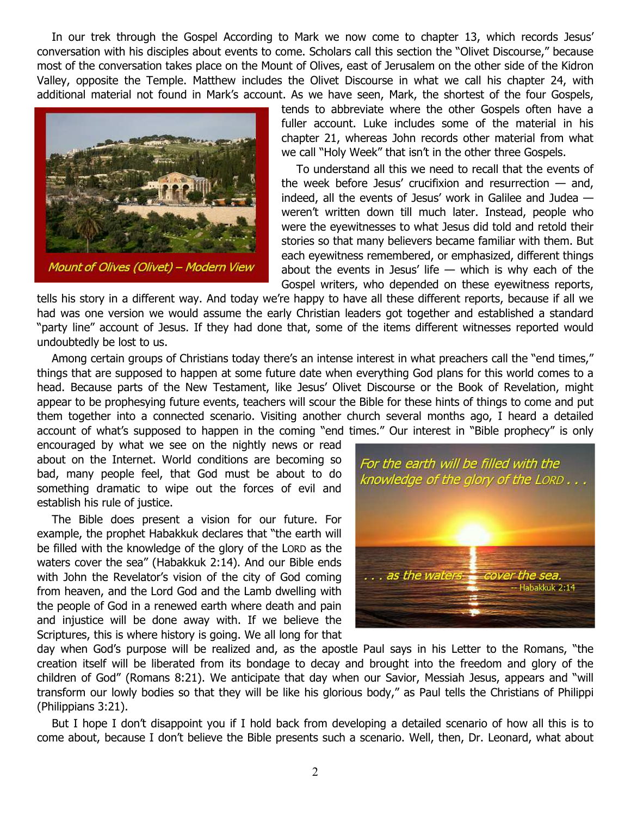In our trek through the Gospel According to Mark we now come to chapter 13, which records Jesus' conversation with his disciples about events to come. Scholars call this section the "Olivet Discourse," because most of the conversation takes place on the Mount of Olives, east of Jerusalem on the other side of the Kidron Valley, opposite the Temple. Matthew includes the Olivet Discourse in what we call his chapter 24, with additional material not found in Mark's account. As we have seen, Mark, the shortest of the four Gospels,



tends to abbreviate where the other Gospels often have a fuller account. Luke includes some of the material in his chapter 21, whereas John records other material from what we call "Holy Week" that isn't in the other three Gospels.

To understand all this we need to recall that the events of the week before Jesus' crucifixion and resurrection — and, indeed, all the events of Jesus' work in Galilee and Judea weren't written down till much later. Instead, people who were the eyewitnesses to what Jesus did told and retold their stories so that many believers became familiar with them. But each eyewitness remembered, or emphasized, different things about the events in Jesus' life  $-$  which is why each of the Gospel writers, who depended on these eyewitness reports,

tells his story in a different way. And today we're happy to have all these different reports, because if all we had was one version we would assume the early Christian leaders got together and established a standard "party line" account of Jesus. If they had done that, some of the items different witnesses reported would undoubtedly be lost to us.

Among certain groups of Christians today there's an intense interest in what preachers call the "end times," things that are supposed to happen at some future date when everything God plans for this world comes to a head. Because parts of the New Testament, like Jesus' Olivet Discourse or the Book of Revelation, might appear to be prophesying future events, teachers will scour the Bible for these hints of things to come and put them together into a connected scenario. Visiting another church several months ago, I heard a detailed account of what's supposed to happen in the coming "end times." Our interest in "Bible prophecy" is only

encouraged by what we see on the nightly news or read about on the Internet. World conditions are becoming so bad, many people feel, that God must be about to do something dramatic to wipe out the forces of evil and establish his rule of justice.

The Bible does present a vision for our future. For example, the prophet Habakkuk declares that "the earth will be filled with the knowledge of the glory of the LORD as the waters cover the sea" (Habakkuk 2:14). And our Bible ends with John the Revelator's vision of the city of God coming from heaven, and the Lord God and the Lamb dwelling with the people of God in a renewed earth where death and pain and injustice will be done away with. If we believe the Scriptures, this is where history is going. We all long for that



day when God's purpose will be realized and, as the apostle Paul says in his Letter to the Romans, "the creation itself will be liberated from its bondage to decay and brought into the freedom and glory of the children of God" (Romans 8:21). We anticipate that day when our Savior, Messiah Jesus, appears and "will transform our lowly bodies so that they will be like his glorious body," as Paul tells the Christians of Philippi (Philippians 3:21).

But I hope I don't disappoint you if I hold back from developing a detailed scenario of how all this is to come about, because I don't believe the Bible presents such a scenario. Well, then, Dr. Leonard, what about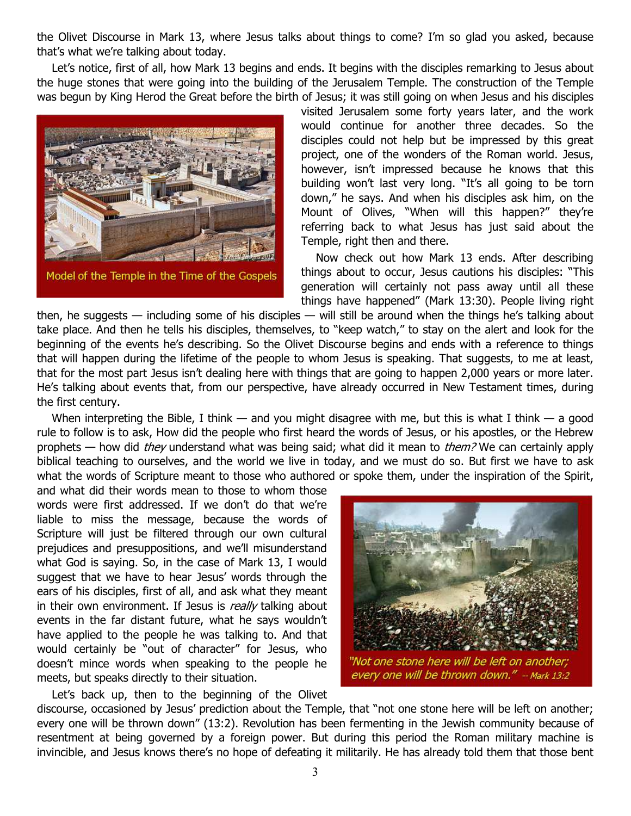the Olivet Discourse in Mark 13, where Jesus talks about things to come? I'm so glad you asked, because that's what we're talking about today.

Let's notice, first of all, how Mark 13 begins and ends. It begins with the disciples remarking to Jesus about the huge stones that were going into the building of the Jerusalem Temple. The construction of the Temple was begun by King Herod the Great before the birth of Jesus; it was still going on when Jesus and his disciples



Model of the Temple in the Time of the Gospels

visited Jerusalem some forty years later, and the work would continue for another three decades. So the disciples could not help but be impressed by this great project, one of the wonders of the Roman world. Jesus, however, isn't impressed because he knows that this building won't last very long. "It's all going to be torn down," he says. And when his disciples ask him, on the Mount of Olives, "When will this happen?" they're referring back to what Jesus has just said about the Temple, right then and there.

Now check out how Mark 13 ends. After describing things about to occur, Jesus cautions his disciples: "This generation will certainly not pass away until all these things have happened" (Mark 13:30). People living right

then, he suggests — including some of his disciples — will still be around when the things he's talking about take place. And then he tells his disciples, themselves, to "keep watch," to stay on the alert and look for the beginning of the events he's describing. So the Olivet Discourse begins and ends with a reference to things that will happen during the lifetime of the people to whom Jesus is speaking. That suggests, to me at least, that for the most part Jesus isn't dealing here with things that are going to happen 2,000 years or more later. He's talking about events that, from our perspective, have already occurred in New Testament times, during the first century.

When interpreting the Bible, I think  $-$  and you might disagree with me, but this is what I think  $-$  a good rule to follow is to ask, How did the people who first heard the words of Jesus, or his apostles, or the Hebrew prophets — how did *they* understand what was being said; what did it mean to *them?* We can certainly apply biblical teaching to ourselves, and the world we live in today, and we must do so. But first we have to ask what the words of Scripture meant to those who authored or spoke them, under the inspiration of the Spirit,

and what did their words mean to those to whom those words were first addressed. If we don't do that we're liable to miss the message, because the words of Scripture will just be filtered through our own cultural prejudices and presuppositions, and we'll misunderstand what God is saying. So, in the case of Mark 13, I would suggest that we have to hear Jesus' words through the ears of his disciples, first of all, and ask what they meant in their own environment. If Jesus is really talking about events in the far distant future, what he says wouldn't have applied to the people he was talking to. And that would certainly be "out of character" for Jesus, who doesn't mince words when speaking to the people he meets, but speaks directly to their situation.



Let's back up, then to the beginning of the Olivet

discourse, occasioned by Jesus' prediction about the Temple, that "not one stone here will be left on another; every one will be thrown down" (13:2). Revolution has been fermenting in the Jewish community because of resentment at being governed by a foreign power. But during this period the Roman military machine is invincible, and Jesus knows there's no hope of defeating it militarily. He has already told them that those bent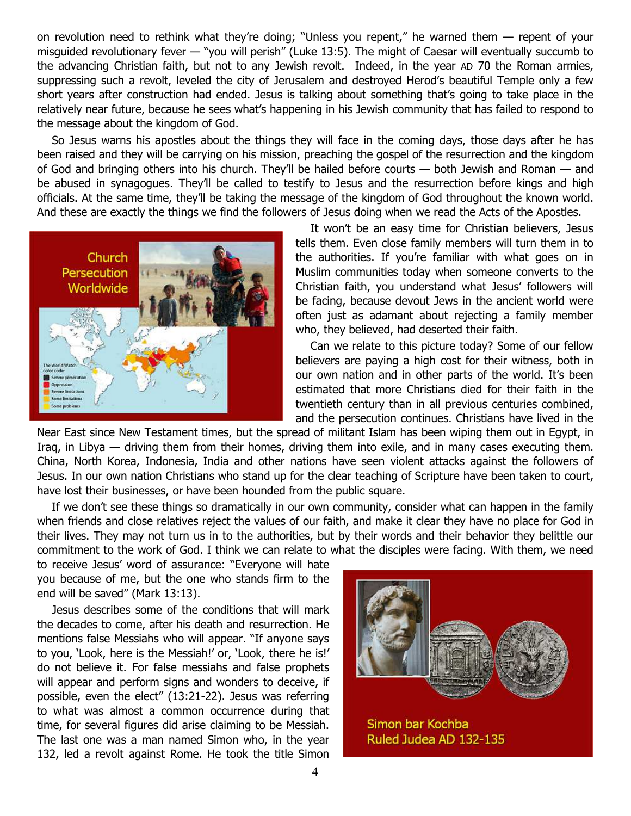on revolution need to rethink what they're doing; "Unless you repent," he warned them — repent of your misguided revolutionary fever — "you will perish" (Luke 13:5). The might of Caesar will eventually succumb to the advancing Christian faith, but not to any Jewish revolt. Indeed, in the year AD 70 the Roman armies, suppressing such a revolt, leveled the city of Jerusalem and destroyed Herod's beautiful Temple only a few short years after construction had ended. Jesus is talking about something that's going to take place in the relatively near future, because he sees what's happening in his Jewish community that has failed to respond to the message about the kingdom of God.

So Jesus warns his apostles about the things they will face in the coming days, those days after he has been raised and they will be carrying on his mission, preaching the gospel of the resurrection and the kingdom of God and bringing others into his church. They'll be hailed before courts — both Jewish and Roman — and be abused in synagogues. They'll be called to testify to Jesus and the resurrection before kings and high officials. At the same time, they'll be taking the message of the kingdom of God throughout the known world. And these are exactly the things we find the followers of Jesus doing when we read the Acts of the Apostles.



It won't be an easy time for Christian believers, Jesus tells them. Even close family members will turn them in to the authorities. If you're familiar with what goes on in Muslim communities today when someone converts to the Christian faith, you understand what Jesus' followers will be facing, because devout Jews in the ancient world were often just as adamant about rejecting a family member who, they believed, had deserted their faith.

Can we relate to this picture today? Some of our fellow believers are paying a high cost for their witness, both in our own nation and in other parts of the world. It's been estimated that more Christians died for their faith in the twentieth century than in all previous centuries combined, and the persecution continues. Christians have lived in the

Near East since New Testament times, but the spread of militant Islam has been wiping them out in Egypt, in Iraq, in Libya — driving them from their homes, driving them into exile, and in many cases executing them. China, North Korea, Indonesia, India and other nations have seen violent attacks against the followers of Jesus. In our own nation Christians who stand up for the clear teaching of Scripture have been taken to court, have lost their businesses, or have been hounded from the public square.

If we don't see these things so dramatically in our own community, consider what can happen in the family when friends and close relatives reject the values of our faith, and make it clear they have no place for God in their lives. They may not turn us in to the authorities, but by their words and their behavior they belittle our commitment to the work of God. I think we can relate to what the disciples were facing. With them, we need

to receive Jesus' word of assurance: "Everyone will hate you because of me, but the one who stands firm to the end will be saved" (Mark 13:13).

Jesus describes some of the conditions that will mark the decades to come, after his death and resurrection. He mentions false Messiahs who will appear. "If anyone says to you, 'Look, here is the Messiah!' or, 'Look, there he is!' do not believe it. For false messiahs and false prophets will appear and perform signs and wonders to deceive, if possible, even the elect" (13:21-22). Jesus was referring to what was almost a common occurrence during that time, for several figures did arise claiming to be Messiah. The last one was a man named Simon who, in the year 132, led a revolt against Rome. He took the title Simon



Simon bar Kochba Ruled Judea AD 132-135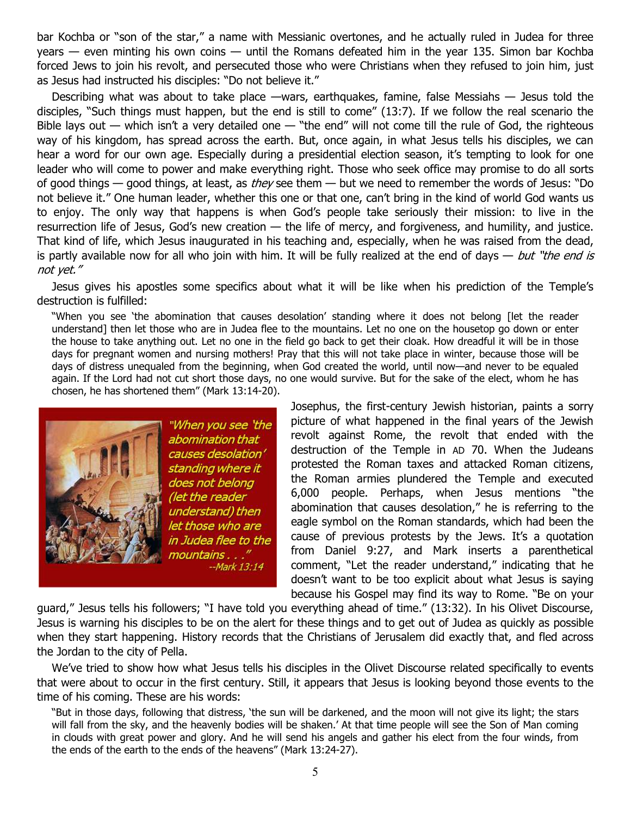bar Kochba or "son of the star," a name with Messianic overtones, and he actually ruled in Judea for three years — even minting his own coins — until the Romans defeated him in the year 135. Simon bar Kochba forced Jews to join his revolt, and persecuted those who were Christians when they refused to join him, just as Jesus had instructed his disciples: "Do not believe it."

Describing what was about to take place —wars, earthquakes, famine, false Messiahs — Jesus told the disciples, "Such things must happen, but the end is still to come" (13:7). If we follow the real scenario the Bible lays out — which isn't a very detailed one — "the end" will not come till the rule of God, the righteous way of his kingdom, has spread across the earth. But, once again, in what Jesus tells his disciples, we can hear a word for our own age. Especially during a presidential election season, it's tempting to look for one leader who will come to power and make everything right. Those who seek office may promise to do all sorts of good things  $-$  good things, at least, as *they* see them  $-$  but we need to remember the words of Jesus: "Do not believe it." One human leader, whether this one or that one, can't bring in the kind of world God wants us to enjoy. The only way that happens is when God's people take seriously their mission: to live in the resurrection life of Jesus, God's new creation — the life of mercy, and forgiveness, and humility, and justice. That kind of life, which Jesus inaugurated in his teaching and, especially, when he was raised from the dead, is partly available now for all who join with him. It will be fully realized at the end of days  $-$  but "the end is not yet."

Jesus gives his apostles some specifics about what it will be like when his prediction of the Temple's destruction is fulfilled:

"When you see 'the abomination that causes desolation' standing where it does not belong [let the reader understand] then let those who are in Judea flee to the mountains. Let no one on the housetop go down or enter the house to take anything out. Let no one in the field go back to get their cloak. How dreadful it will be in those days for pregnant women and nursing mothers! Pray that this will not take place in winter, because those will be days of distress unequaled from the beginning, when God created the world, until now—and never to be equaled again. If the Lord had not cut short those days, no one would survive. But for the sake of the elect, whom he has chosen, he has shortened them" (Mark 13:14-20).



Josephus, the first-century Jewish historian, paints a sorry picture of what happened in the final years of the Jewish revolt against Rome, the revolt that ended with the destruction of the Temple in AD 70. When the Judeans protested the Roman taxes and attacked Roman citizens, the Roman armies plundered the Temple and executed 6,000 people. Perhaps, when Jesus mentions "the abomination that causes desolation," he is referring to the eagle symbol on the Roman standards, which had been the cause of previous protests by the Jews. It's a quotation from Daniel 9:27, and Mark inserts a parenthetical comment, "Let the reader understand," indicating that he doesn't want to be too explicit about what Jesus is saying because his Gospel may find its way to Rome. "Be on your

guard," Jesus tells his followers; "I have told you everything ahead of time." (13:32). In his Olivet Discourse, Jesus is warning his disciples to be on the alert for these things and to get out of Judea as quickly as possible when they start happening. History records that the Christians of Jerusalem did exactly that, and fled across the Jordan to the city of Pella.

We've tried to show how what Jesus tells his disciples in the Olivet Discourse related specifically to events that were about to occur in the first century. Still, it appears that Jesus is looking beyond those events to the time of his coming. These are his words:

"But in those days, following that distress, 'the sun will be darkened, and the moon will not give its light; the stars will fall from the sky, and the heavenly bodies will be shaken.' At that time people will see the Son of Man coming in clouds with great power and glory. And he will send his angels and gather his elect from the four winds, from the ends of the earth to the ends of the heavens" (Mark 13:24-27).